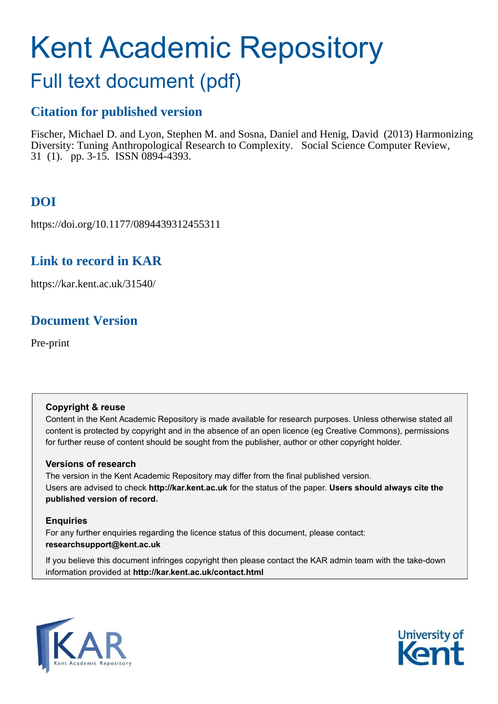# Kent Academic Repository

## Full text document (pdf)

## **Citation for published version**

Fischer, Michael D. and Lyon, Stephen M. and Sosna, Daniel and Henig, David (2013) Harmonizing Diversity: Tuning Anthropological Research to Complexity. Social Science Computer Review, 31 (1). pp. 3-15. ISSN 0894-4393.

## **DOI**

https://doi.org/10.1177/0894439312455311

## **Link to record in KAR**

https://kar.kent.ac.uk/31540/

## **Document Version**

Pre-print

#### **Copyright & reuse**

Content in the Kent Academic Repository is made available for research purposes. Unless otherwise stated all content is protected by copyright and in the absence of an open licence (eg Creative Commons), permissions for further reuse of content should be sought from the publisher, author or other copyright holder.

#### **Versions of research**

The version in the Kent Academic Repository may differ from the final published version. Users are advised to check **http://kar.kent.ac.uk** for the status of the paper. **Users should always cite the published version of record.**

#### **Enquiries**

For any further enquiries regarding the licence status of this document, please contact: **researchsupport@kent.ac.uk**

If you believe this document infringes copyright then please contact the KAR admin team with the take-down information provided at **http://kar.kent.ac.uk/contact.html**



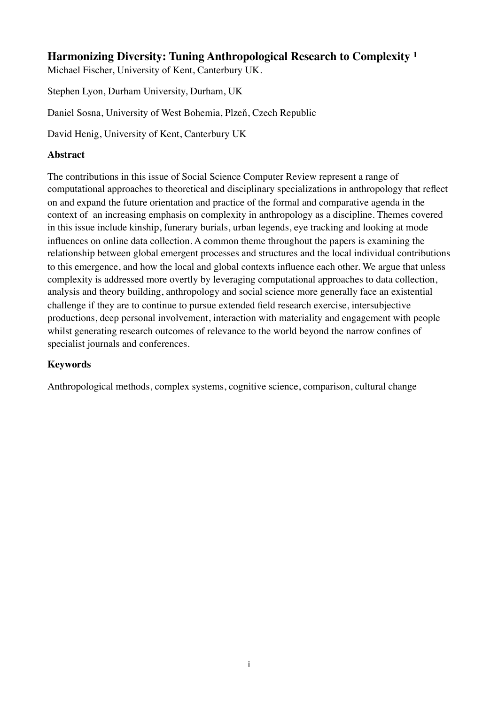#### **Harmonizing Diversity: Tuning Anthropological Research to Complexity <sup>1</sup>**

Michael Fischer, University of Kent, Canterbury UK.

Stephen Lyon, Durham University, Durham, UK

Daniel Sosna, University of West Bohemia, Plzeň, Czech Republic

David Henig, University of Kent, Canterbury UK

#### **Abstract**

The contributions in this issue of Social Science Computer Review represent a range of computational approaches to theoretical and disciplinary specializations in anthropology that reflect on and expand the future orientation and practice of the formal and comparative agenda in the context of an increasing emphasis on complexity in anthropology as a discipline. Themes covered in this issue include kinship, funerary burials, urban legends, eye tracking and looking at mode influences on online data collection. A common theme throughout the papers is examining the relationship between global emergent processes and structures and the local individual contributions to this emergence, and how the local and global contexts influence each other. We argue that unless complexity is addressed more overtly by leveraging computational approaches to data collection, analysis and theory building, anthropology and social science more generally face an existential challenge if they are to continue to pursue extended field research exercise, intersubjective productions, deep personal involvement, interaction with materiality and engagement with people whilst generating research outcomes of relevance to the world beyond the narrow confines of specialist journals and conferences.

#### **Keywords**

Anthropological methods, complex systems, cognitive science, comparison, cultural change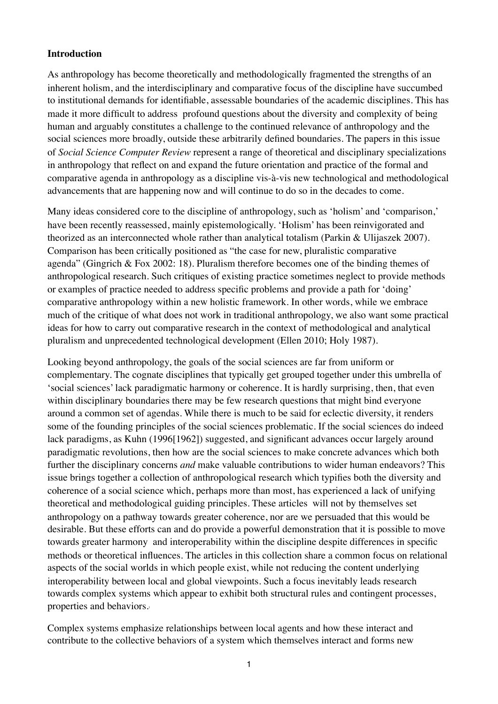#### **Introduction**

As anthropology has become theoretically and methodologically fragmented the strengths of an inherent holism, and the interdisciplinary and comparative focus of the discipline have succumbed to institutional demands for identifiable, assessable boundaries of the academic disciplines. This has made it more difficult to address profound questions about the diversity and complexity of being human and arguably constitutes a challenge to the continued relevance of anthropology and the social sciences more broadly, outside these arbitrarily defined boundaries. The papers in this issue of *Social Science Computer Review* represent a range of theoretical and disciplinary specializations in anthropology that reflect on and expand the future orientation and practice of the formal and comparative agenda in anthropology as a discipline vis-à-vis new technological and methodological advancements that are happening now and will continue to do so in the decades to come.

Many ideas considered core to the discipline of anthropology, such as 'holism' and 'comparison,' have been recently reassessed, mainly epistemologically. 'Holism' has been reinvigorated and theorized as an interconnected whole rather than analytical totalism (Parkin & Ulijaszek 2007). Comparison has been critically positioned as "the case for new, pluralistic comparative agenda" (Gingrich & Fox 2002: 18). Pluralism therefore becomes one of the binding themes of anthropological research. Such critiques of existing practice sometimes neglect to provide methods or examples of practice needed to address specific problems and provide a path for 'doing' comparative anthropology within a new holistic framework. In other words, while we embrace much of the critique of what does not work in traditional anthropology, we also want some practical ideas for how to carry out comparative research in the context of methodological and analytical pluralism and unprecedented technological development (Ellen 2010; Holy 1987).

Looking beyond anthropology, the goals of the social sciences are far from uniform or complementary. The cognate disciplines that typically get grouped together under this umbrella of 'social sciences' lack paradigmatic harmony or coherence. It is hardly surprising, then, that even within disciplinary boundaries there may be few research questions that might bind everyone around a common set of agendas. While there is much to be said for eclectic diversity, it renders some of the founding principles of the social sciences problematic. If the social sciences do indeed lack paradigms, as Kuhn (1996[1962]) suggested, and significant advances occur largely around paradigmatic revolutions, then how are the social sciences to make concrete advances which both further the disciplinary concerns *and* make valuable contributions to wider human endeavors? This issue brings together a collection of anthropological research which typifies both the diversity and coherence of a social science which, perhaps more than most, has experienced a lack of unifying theoretical and methodological guiding principles. These articles will not by themselves set anthropology on a pathway towards greater coherence, nor are we persuaded that this would be desirable. But these efforts can and do provide a powerful demonstration that it is possible to move towards greater harmony and interoperability within the discipline despite differences in specific methods or theoretical influences. The articles in this collection share a common focus on relational aspects of the social worlds in which people exist, while not reducing the content underlying interoperability between local and global viewpoints. Such a focus inevitably leads research towards complex systems which appear to exhibit both structural rules and contingent processes, properties and behaviors.

Complex systems emphasize relationships between local agents and how these interact and contribute to the collective behaviors of a system which themselves interact and forms new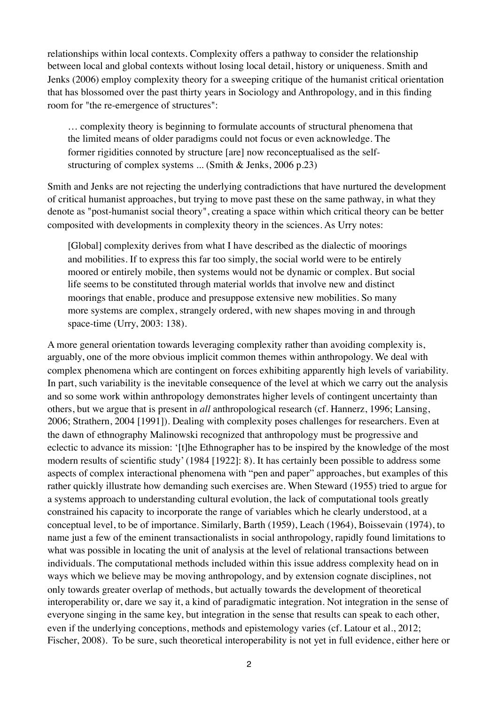relationships within local contexts. Complexity offers a pathway to consider the relationship between local and global contexts without losing local detail, history or uniqueness. Smith and Jenks (2006) employ complexity theory for a sweeping critique of the humanist critical orientation that has blossomed over the past thirty years in Sociology and Anthropology, and in this finding room for "the re-emergence of structures":

… complexity theory is beginning to formulate accounts of structural phenomena that the limited means of older paradigms could not focus or even acknowledge. The former rigidities connoted by structure [are] now reconceptualised as the selfstructuring of complex systems ... (Smith & Jenks, 2006 p.23)

Smith and Jenks are not rejecting the underlying contradictions that have nurtured the development of critical humanist approaches, but trying to move past these on the same pathway, in what they denote as "post-humanist social theory", creating a space within which critical theory can be better composited with developments in complexity theory in the sciences. As Urry notes:

[Global] complexity derives from what I have described as the dialectic of moorings and mobilities. If to express this far too simply, the social world were to be entirely moored or entirely mobile, then systems would not be dynamic or complex. But social life seems to be constituted through material worlds that involve new and distinct moorings that enable, produce and presuppose extensive new mobilities. So many more systems are complex, strangely ordered, with new shapes moving in and through space-time (Urry, 2003: 138).

A more general orientation towards leveraging complexity rather than avoiding complexity is, arguably, one of the more obvious implicit common themes within anthropology. We deal with complex phenomena which are contingent on forces exhibiting apparently high levels of variability. In part, such variability is the inevitable consequence of the level at which we carry out the analysis and so some work within anthropology demonstrates higher levels of contingent uncertainty than others, but we argue that is present in *all* anthropological research (cf. Hannerz, 1996; Lansing, 2006; Strathern, 2004 [1991]). Dealing with complexity poses challenges for researchers. Even at the dawn of ethnography Malinowski recognized that anthropology must be progressive and eclectic to advance its mission: '[t]he Ethnographer has to be inspired by the knowledge of the most modern results of scientific study' (1984 [1922]: 8). It has certainly been possible to address some aspects of complex interactional phenomena with "pen and paper" approaches, but examples of this rather quickly illustrate how demanding such exercises are. When Steward (1955) tried to argue for a systems approach to understanding cultural evolution, the lack of computational tools greatly constrained his capacity to incorporate the range of variables which he clearly understood, at a conceptual level, to be of importance. Similarly, Barth (1959), Leach (1964), Boissevain (1974), to name just a few of the eminent transactionalists in social anthropology, rapidly found limitations to what was possible in locating the unit of analysis at the level of relational transactions between individuals. The computational methods included within this issue address complexity head on in ways which we believe may be moving anthropology, and by extension cognate disciplines, not only towards greater overlap of methods, but actually towards the development of theoretical interoperability or, dare we say it, a kind of paradigmatic integration. Not integration in the sense of everyone singing in the same key, but integration in the sense that results can speak to each other, even if the underlying conceptions, methods and epistemology varies (cf. Latour et al., 2012; Fischer, 2008). To be sure, such theoretical interoperability is not yet in full evidence, either here or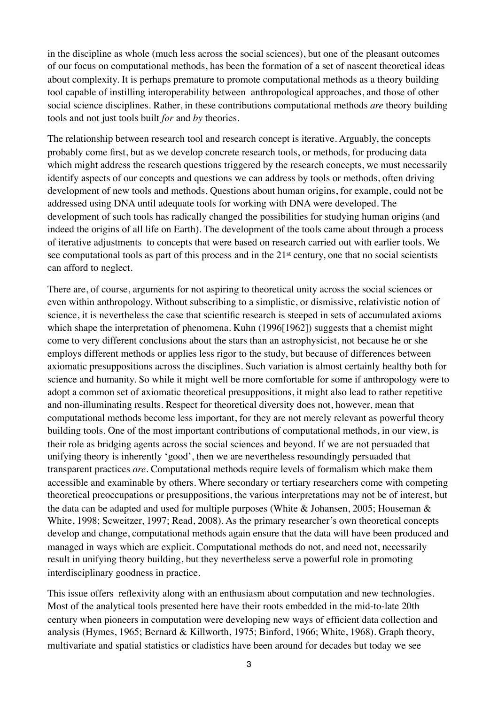in the discipline as whole (much less across the social sciences), but one of the pleasant outcomes of our focus on computational methods, has been the formation of a set of nascent theoretical ideas about complexity. It is perhaps premature to promote computational methods as a theory building tool capable of instilling interoperability between anthropological approaches, and those of other social science disciplines. Rather, in these contributions computational methods *are* theory building tools and not just tools built *for* and *by* theories.

The relationship between research tool and research concept is iterative. Arguably, the concepts probably come first, but as we develop concrete research tools, or methods, for producing data which might address the research questions triggered by the research concepts, we must necessarily identify aspects of our concepts and questions we can address by tools or methods, often driving development of new tools and methods. Questions about human origins, for example, could not be addressed using DNA until adequate tools for working with DNA were developed. The development of such tools has radically changed the possibilities for studying human origins (and indeed the origins of all life on Earth). The development of the tools came about through a process of iterative adjustments to concepts that were based on research carried out with earlier tools. We see computational tools as part of this process and in the 21<sup>st</sup> century, one that no social scientists can afford to neglect.

There are, of course, arguments for not aspiring to theoretical unity across the social sciences or even within anthropology. Without subscribing to a simplistic, or dismissive, relativistic notion of science, it is nevertheless the case that scientific research is steeped in sets of accumulated axioms which shape the interpretation of phenomena. Kuhn (1996[1962]) suggests that a chemist might come to very different conclusions about the stars than an astrophysicist, not because he or she employs different methods or applies less rigor to the study, but because of differences between axiomatic presuppositions across the disciplines. Such variation is almost certainly healthy both for science and humanity. So while it might well be more comfortable for some if anthropology were to adopt a common set of axiomatic theoretical presuppositions, it might also lead to rather repetitive and non-illuminating results. Respect for theoretical diversity does not, however, mean that computational methods become less important, for they are not merely relevant as powerful theory building tools. One of the most important contributions of computational methods, in our view, is their role as bridging agents across the social sciences and beyond. If we are not persuaded that unifying theory is inherently 'good', then we are nevertheless resoundingly persuaded that transparent practices *are.* Computational methods require levels of formalism which make them accessible and examinable by others. Where secondary or tertiary researchers come with competing theoretical preoccupations or presuppositions, the various interpretations may not be of interest, but the data can be adapted and used for multiple purposes (White & Johansen, 2005; Houseman & White, 1998; Scweitzer, 1997; Read, 2008). As the primary researcher's own theoretical concepts develop and change, computational methods again ensure that the data will have been produced and managed in ways which are explicit. Computational methods do not, and need not, necessarily result in unifying theory building, but they nevertheless serve a powerful role in promoting interdisciplinary goodness in practice.

This issue offers reflexivity along with an enthusiasm about computation and new technologies. Most of the analytical tools presented here have their roots embedded in the mid-to-late 20th century when pioneers in computation were developing new ways of efficient data collection and analysis (Hymes, 1965; Bernard & Killworth, 1975; Binford, 1966; White, 1968). Graph theory, multivariate and spatial statistics or cladistics have been around for decades but today we see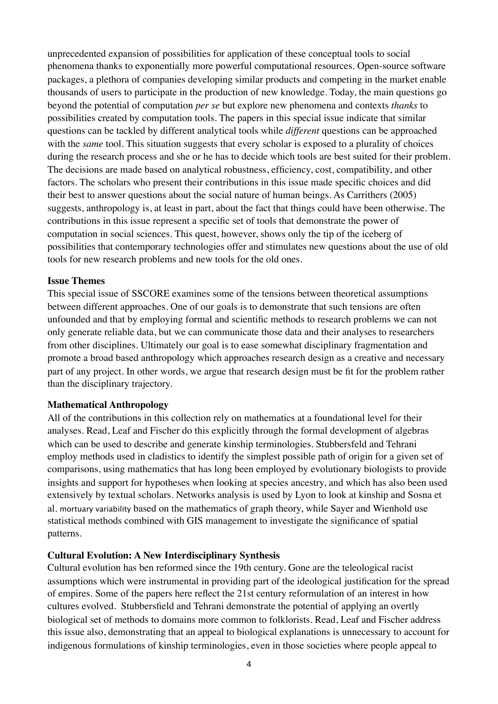unprecedented expansion of possibilities for application of these conceptual tools to social phenomena thanks to exponentially more powerful computational resources. Open-source software packages, a plethora of companies developing similar products and competing in the market enable thousands of users to participate in the production of new knowledge. Today, the main questions go beyond the potential of computation *per se* but explore new phenomena and contexts *thanks* to possibilities created by computation tools. The papers in this special issue indicate that similar questions can be tackled by different analytical tools while *different* questions can be approached with the *same* tool. This situation suggests that every scholar is exposed to a plurality of choices during the research process and she or he has to decide which tools are best suited for their problem. The decisions are made based on analytical robustness, efficiency, cost, compatibility, and other factors. The scholars who present their contributions in this issue made specific choices and did their best to answer questions about the social nature of human beings. As Carrithers (2005) suggests, anthropology is, at least in part, about the fact that things could have been otherwise. The contributions in this issue represent a specific set of tools that demonstrate the power of computation in social sciences. This quest, however, shows only the tip of the iceberg of possibilities that contemporary technologies offer and stimulates new questions about the use of old tools for new research problems and new tools for the old ones.

#### **Issue Themes**

This special issue of SSCORE examines some of the tensions between theoretical assumptions between different approaches. One of our goals is to demonstrate that such tensions are often unfounded and that by employing formal and scientific methods to research problems we can not only generate reliable data, but we can communicate those data and their analyses to researchers from other disciplines. Ultimately our goal is to ease somewhat disciplinary fragmentation and promote a broad based anthropology which approaches research design as a creative and necessary part of any project. In other words, we argue that research design must be fit for the problem rather than the disciplinary trajectory.

#### **Mathematical Anthropology**

All of the contributions in this collection rely on mathematics at a foundational level for their analyses. Read, Leaf and Fischer do this explicitly through the formal development of algebras which can be used to describe and generate kinship terminologies. Stubbersfeld and Tehrani employ methods used in cladistics to identify the simplest possible path of origin for a given set of comparisons, using mathematics that has long been employed by evolutionary biologists to provide insights and support for hypotheses when looking at species ancestry, and which has also been used extensively by textual scholars. Networks analysis is used by Lyon to look at kinship and Sosna et al. mortuary variability based on the mathematics of graph theory, while Sayer and Wienhold use statistical methods combined with GIS management to investigate the significance of spatial patterns.

#### **Cultural Evolution: A New Interdisciplinary Synthesis**

Cultural evolution has ben reformed since the 19th century. Gone are the teleological racist assumptions which were instrumental in providing part of the ideological justification for the spread of empires. Some of the papers here reflect the 21st century reformulation of an interest in how cultures evolved. Stubbersfield and Tehrani demonstrate the potential of applying an overtly biological set of methods to domains more common to folklorists. Read, Leaf and Fischer address this issue also, demonstrating that an appeal to biological explanations is unnecessary to account for indigenous formulations of kinship terminologies, even in those societies where people appeal to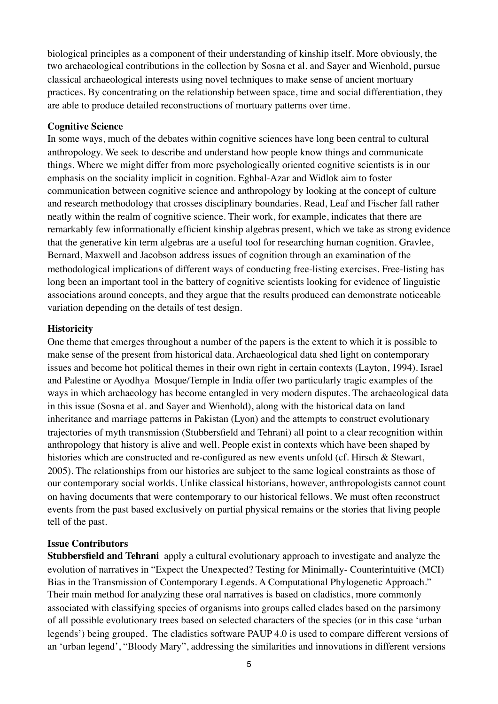biological principles as a component of their understanding of kinship itself. More obviously, the two archaeological contributions in the collection by Sosna et al. and Sayer and Wienhold, pursue classical archaeological interests using novel techniques to make sense of ancient mortuary practices. By concentrating on the relationship between space, time and social differentiation, they are able to produce detailed reconstructions of mortuary patterns over time.

#### **Cognitive Science**

In some ways, much of the debates within cognitive sciences have long been central to cultural anthropology. We seek to describe and understand how people know things and communicate things. Where we might differ from more psychologically oriented cognitive scientists is in our emphasis on the sociality implicit in cognition. Eghbal-Azar and Widlok aim to foster communication between cognitive science and anthropology by looking at the concept of culture and research methodology that crosses disciplinary boundaries. Read, Leaf and Fischer fall rather neatly within the realm of cognitive science. Their work, for example, indicates that there are remarkably few informationally efficient kinship algebras present, which we take as strong evidence that the generative kin term algebras are a useful tool for researching human cognition. Gravlee, Bernard, Maxwell and Jacobson address issues of cognition through an examination of the methodological implications of different ways of conducting free-listing exercises. Free-listing has long been an important tool in the battery of cognitive scientists looking for evidence of linguistic associations around concepts, and they argue that the results produced can demonstrate noticeable variation depending on the details of test design.

#### **Historicity**

One theme that emerges throughout a number of the papers is the extent to which it is possible to make sense of the present from historical data. Archaeological data shed light on contemporary issues and become hot political themes in their own right in certain contexts (Layton, 1994). Israel and Palestine or Ayodhya Mosque/Temple in India offer two particularly tragic examples of the ways in which archaeology has become entangled in very modern disputes. The archaeological data in this issue (Sosna et al. and Sayer and Wienhold), along with the historical data on land inheritance and marriage patterns in Pakistan (Lyon) and the attempts to construct evolutionary trajectories of myth transmission (Stubbersfield and Tehrani) all point to a clear recognition within anthropology that history is alive and well. People exist in contexts which have been shaped by histories which are constructed and re-configured as new events unfold (cf. Hirsch & Stewart, 2005). The relationships from our histories are subject to the same logical constraints as those of our contemporary social worlds. Unlike classical historians, however, anthropologists cannot count on having documents that were contemporary to our historical fellows. We must often reconstruct events from the past based exclusively on partial physical remains or the stories that living people tell of the past.

#### **Issue Contributors**

**Stubbersfield and Tehrani** apply a cultural evolutionary approach to investigate and analyze the evolution of narratives in "Expect the Unexpected? Testing for Minimally- Counterintuitive (MCI) Bias in the Transmission of Contemporary Legends. A Computational Phylogenetic Approach." Their main method for analyzing these oral narratives is based on cladistics, more commonly associated with classifying species of organisms into groups called clades based on the parsimony of all possible evolutionary trees based on selected characters of the species (or in this case 'urban legends') being grouped. The cladistics software PAUP 4.0 is used to compare different versions of an 'urban legend', "Bloody Mary", addressing the similarities and innovations in different versions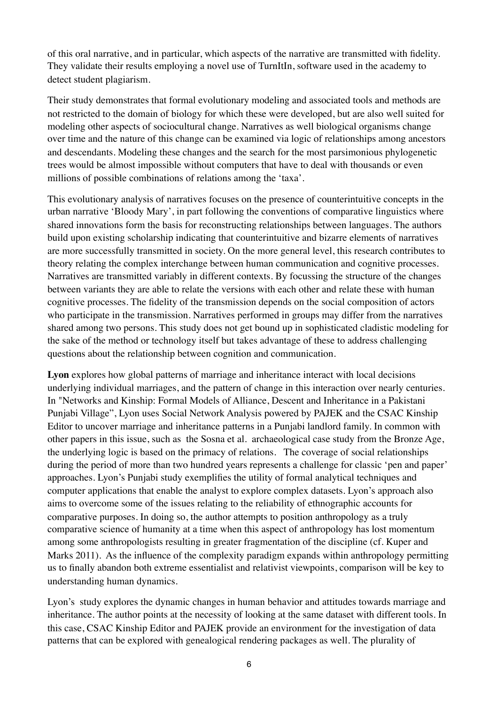of this oral narrative, and in particular, which aspects of the narrative are transmitted with fidelity. They validate their results employing a novel use of TurnItIn, software used in the academy to detect student plagiarism.

Their study demonstrates that formal evolutionary modeling and associated tools and methods are not restricted to the domain of biology for which these were developed, but are also well suited for modeling other aspects of sociocultural change. Narratives as well biological organisms change over time and the nature of this change can be examined via logic of relationships among ancestors and descendants. Modeling these changes and the search for the most parsimonious phylogenetic trees would be almost impossible without computers that have to deal with thousands or even millions of possible combinations of relations among the 'taxa'.

This evolutionary analysis of narratives focuses on the presence of counterintuitive concepts in the urban narrative 'Bloody Mary', in part following the conventions of comparative linguistics where shared innovations form the basis for reconstructing relationships between languages. The authors build upon existing scholarship indicating that counterintuitive and bizarre elements of narratives are more successfully transmitted in society. On the more general level, this research contributes to theory relating the complex interchange between human communication and cognitive processes. Narratives are transmitted variably in different contexts. By focussing the structure of the changes between variants they are able to relate the versions with each other and relate these with human cognitive processes. The fidelity of the transmission depends on the social composition of actors who participate in the transmission. Narratives performed in groups may differ from the narratives shared among two persons. This study does not get bound up in sophisticated cladistic modeling for the sake of the method or technology itself but takes advantage of these to address challenging questions about the relationship between cognition and communication.

**Lyon** explores how global patterns of marriage and inheritance interact with local decisions underlying individual marriages, and the pattern of change in this interaction over nearly centuries. In "Networks and Kinship: Formal Models of Alliance, Descent and Inheritance in a Pakistani Punjabi Village", Lyon uses Social Network Analysis powered by PAJEK and the CSAC Kinship Editor to uncover marriage and inheritance patterns in a Punjabi landlord family. In common with other papers in this issue, such as the Sosna et al. archaeological case study from the Bronze Age, the underlying logic is based on the primacy of relations. The coverage of social relationships during the period of more than two hundred years represents a challenge for classic 'pen and paper' approaches. Lyon's Punjabi study exemplifies the utility of formal analytical techniques and computer applications that enable the analyst to explore complex datasets. Lyon's approach also aims to overcome some of the issues relating to the reliability of ethnographic accounts for comparative purposes. In doing so, the author attempts to position anthropology as a truly comparative science of humanity at a time when this aspect of anthropology has lost momentum among some anthropologists resulting in greater fragmentation of the discipline (cf. Kuper and Marks 2011). As the influence of the complexity paradigm expands within anthropology permitting us to finally abandon both extreme essentialist and relativist viewpoints, comparison will be key to understanding human dynamics.

Lyon's study explores the dynamic changes in human behavior and attitudes towards marriage and inheritance. The author points at the necessity of looking at the same dataset with different tools. In this case, CSAC Kinship Editor and PAJEK provide an environment for the investigation of data patterns that can be explored with genealogical rendering packages as well. The plurality of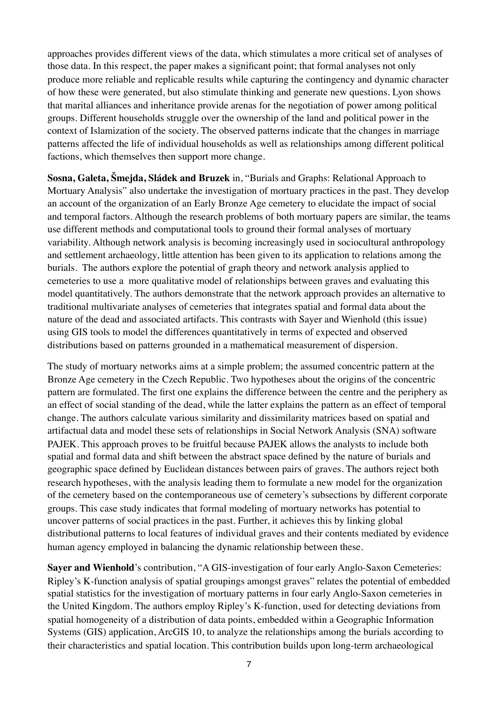approaches provides different views of the data, which stimulates a more critical set of analyses of those data. In this respect, the paper makes a significant point; that formal analyses not only produce more reliable and replicable results while capturing the contingency and dynamic character of how these were generated, but also stimulate thinking and generate new questions. Lyon shows that marital alliances and inheritance provide arenas for the negotiation of power among political groups. Different households struggle over the ownership of the land and political power in the context of Islamization of the society. The observed patterns indicate that the changes in marriage patterns affected the life of individual households as well as relationships among different political factions, which themselves then support more change.

**Sosna, Galeta, Šmejda, Sládek and Bruzek** in, "Burials and Graphs: Relational Approach to Mortuary Analysis" also undertake the investigation of mortuary practices in the past. They develop an account of the organization of an Early Bronze Age cemetery to elucidate the impact of social and temporal factors. Although the research problems of both mortuary papers are similar, the teams use different methods and computational tools to ground their formal analyses of mortuary variability. Although network analysis is becoming increasingly used in sociocultural anthropology and settlement archaeology, little attention has been given to its application to relations among the burials. The authors explore the potential of graph theory and network analysis applied to cemeteries to use a more qualitative model of relationships between graves and evaluating this model quantitatively. The authors demonstrate that the network approach provides an alternative to traditional multivariate analyses of cemeteries that integrates spatial and formal data about the nature of the dead and associated artifacts. This contrasts with Sayer and Wienhold (this issue) using GIS tools to model the differences quantitatively in terms of expected and observed distributions based on patterns grounded in a mathematical measurement of dispersion.

The study of mortuary networks aims at a simple problem; the assumed concentric pattern at the Bronze Age cemetery in the Czech Republic. Two hypotheses about the origins of the concentric pattern are formulated. The first one explains the difference between the centre and the periphery as an effect of social standing of the dead, while the latter explains the pattern as an effect of temporal change. The authors calculate various similarity and dissimilarity matrices based on spatial and artifactual data and model these sets of relationships in Social Network Analysis (SNA) software PAJEK. This approach proves to be fruitful because PAJEK allows the analysts to include both spatial and formal data and shift between the abstract space defined by the nature of burials and geographic space defined by Euclidean distances between pairs of graves. The authors reject both research hypotheses, with the analysis leading them to formulate a new model for the organization of the cemetery based on the contemporaneous use of cemetery's subsections by different corporate groups. This case study indicates that formal modeling of mortuary networks has potential to uncover patterns of social practices in the past. Further, it achieves this by linking global distributional patterns to local features of individual graves and their contents mediated by evidence human agency employed in balancing the dynamic relationship between these.

**Sayer and Wienhold**'s contribution, "A GIS-investigation of four early Anglo-Saxon Cemeteries: Ripley's K-function analysis of spatial groupings amongst graves" relates the potential of embedded spatial statistics for the investigation of mortuary patterns in four early Anglo-Saxon cemeteries in the United Kingdom. The authors employ Ripley's K-function, used for detecting deviations from spatial homogeneity of a distribution of data points, embedded within a Geographic Information Systems (GIS) application, ArcGIS 10, to analyze the relationships among the burials according to their characteristics and spatial location. This contribution builds upon long-term archaeological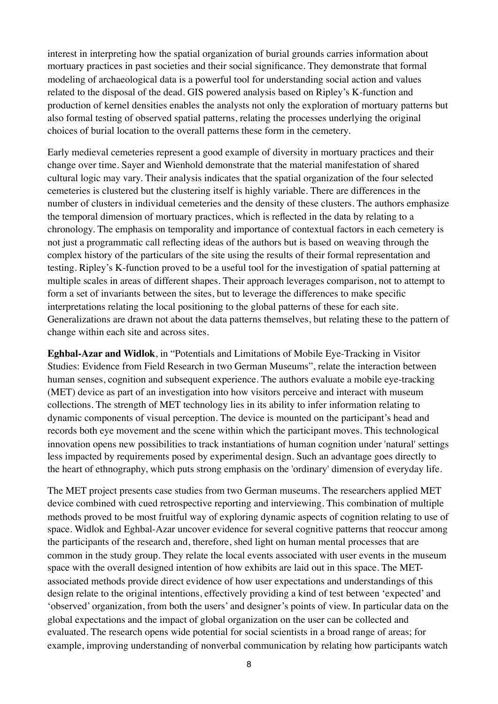interest in interpreting how the spatial organization of burial grounds carries information about mortuary practices in past societies and their social significance. They demonstrate that formal modeling of archaeological data is a powerful tool for understanding social action and values related to the disposal of the dead. GIS powered analysis based on Ripley's K-function and production of kernel densities enables the analysts not only the exploration of mortuary patterns but also formal testing of observed spatial patterns, relating the processes underlying the original choices of burial location to the overall patterns these form in the cemetery.

Early medieval cemeteries represent a good example of diversity in mortuary practices and their change over time. Sayer and Wienhold demonstrate that the material manifestation of shared cultural logic may vary. Their analysis indicates that the spatial organization of the four selected cemeteries is clustered but the clustering itself is highly variable. There are differences in the number of clusters in individual cemeteries and the density of these clusters. The authors emphasize the temporal dimension of mortuary practices, which is reflected in the data by relating to a chronology. The emphasis on temporality and importance of contextual factors in each cemetery is not just a programmatic call reflecting ideas of the authors but is based on weaving through the complex history of the particulars of the site using the results of their formal representation and testing. Ripley's K-function proved to be a useful tool for the investigation of spatial patterning at multiple scales in areas of different shapes. Their approach leverages comparison, not to attempt to form a set of invariants between the sites, but to leverage the differences to make specific interpretations relating the local positioning to the global patterns of these for each site. Generalizations are drawn not about the data patterns themselves, but relating these to the pattern of change within each site and across sites.

**Eghbal-Azar and Widlok**, in "Potentials and Limitations of Mobile Eye-Tracking in Visitor Studies: Evidence from Field Research in two German Museums", relate the interaction between human senses, cognition and subsequent experience. The authors evaluate a mobile eye-tracking (MET) device as part of an investigation into how visitors perceive and interact with museum collections. The strength of MET technology lies in its ability to infer information relating to dynamic components of visual perception. The device is mounted on the participant's head and records both eye movement and the scene within which the participant moves. This technological innovation opens new possibilities to track instantiations of human cognition under 'natural' settings less impacted by requirements posed by experimental design. Such an advantage goes directly to the heart of ethnography, which puts strong emphasis on the 'ordinary' dimension of everyday life.

The MET project presents case studies from two German museums. The researchers applied MET device combined with cued retrospective reporting and interviewing. This combination of multiple methods proved to be most fruitful way of exploring dynamic aspects of cognition relating to use of space. Widlok and Eghbal-Azar uncover evidence for several cognitive patterns that reoccur among the participants of the research and, therefore, shed light on human mental processes that are common in the study group. They relate the local events associated with user events in the museum space with the overall designed intention of how exhibits are laid out in this space. The METassociated methods provide direct evidence of how user expectations and understandings of this design relate to the original intentions, effectively providing a kind of test between 'expected' and 'observed' organization, from both the users' and designer's points of view. In particular data on the global expectations and the impact of global organization on the user can be collected and evaluated. The research opens wide potential for social scientists in a broad range of areas; for example, improving understanding of nonverbal communication by relating how participants watch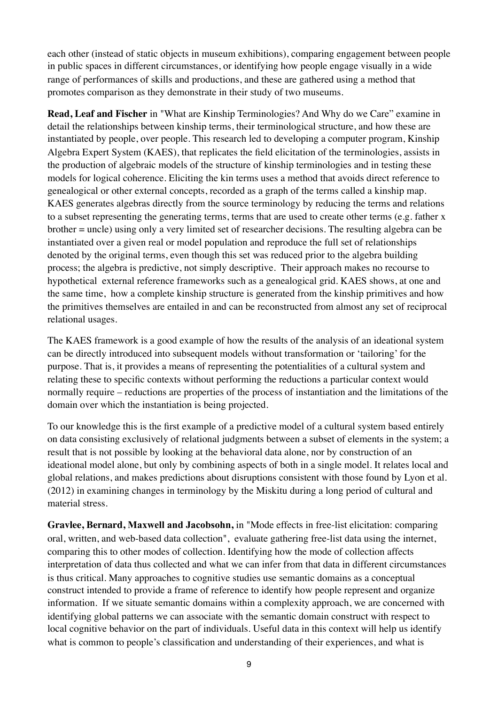each other (instead of static objects in museum exhibitions), comparing engagement between people in public spaces in different circumstances, or identifying how people engage visually in a wide range of performances of skills and productions, and these are gathered using a method that promotes comparison as they demonstrate in their study of two museums.

**Read, Leaf and Fischer** in "What are Kinship Terminologies? And Why do we Care" examine in detail the relationships between kinship terms, their terminological structure, and how these are instantiated by people, over people. This research led to developing a computer program, Kinship Algebra Expert System (KAES), that replicates the field elicitation of the terminologies, assists in the production of algebraic models of the structure of kinship terminologies and in testing these models for logical coherence. Eliciting the kin terms uses a method that avoids direct reference to genealogical or other external concepts, recorded as a graph of the terms called a kinship map. KAES generates algebras directly from the source terminology by reducing the terms and relations to a subset representing the generating terms, terms that are used to create other terms (e.g. father x brother = uncle) using only a very limited set of researcher decisions. The resulting algebra can be instantiated over a given real or model population and reproduce the full set of relationships denoted by the original terms, even though this set was reduced prior to the algebra building process; the algebra is predictive, not simply descriptive. Their approach makes no recourse to hypothetical external reference frameworks such as a genealogical grid. KAES shows, at one and the same time, how a complete kinship structure is generated from the kinship primitives and how the primitives themselves are entailed in and can be reconstructed from almost any set of reciprocal relational usages.

The KAES framework is a good example of how the results of the analysis of an ideational system can be directly introduced into subsequent models without transformation or 'tailoring' for the purpose. That is, it provides a means of representing the potentialities of a cultural system and relating these to specific contexts without performing the reductions a particular context would normally require – reductions are properties of the process of instantiation and the limitations of the domain over which the instantiation is being projected.

To our knowledge this is the first example of a predictive model of a cultural system based entirely on data consisting exclusively of relational judgments between a subset of elements in the system; a result that is not possible by looking at the behavioral data alone, nor by construction of an ideational model alone, but only by combining aspects of both in a single model. It relates local and global relations, and makes predictions about disruptions consistent with those found by Lyon et al. (2012) in examining changes in terminology by the Miskitu during a long period of cultural and material stress.

**Gravlee, Bernard, Maxwell and Jacobsohn,** in "Mode effects in free-list elicitation: comparing oral, written, and web-based data collection", evaluate gathering free-list data using the internet, comparing this to other modes of collection. Identifying how the mode of collection affects interpretation of data thus collected and what we can infer from that data in different circumstances is thus critical. Many approaches to cognitive studies use semantic domains as a conceptual construct intended to provide a frame of reference to identify how people represent and organize information. If we situate semantic domains within a complexity approach, we are concerned with identifying global patterns we can associate with the semantic domain construct with respect to local cognitive behavior on the part of individuals. Useful data in this context will help us identify what is common to people's classification and understanding of their experiences, and what is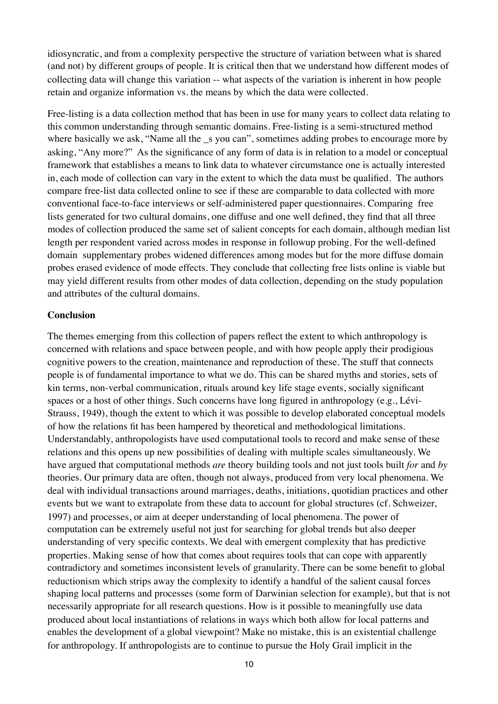idiosyncratic, and from a complexity perspective the structure of variation between what is shared (and not) by different groups of people. It is critical then that we understand how different modes of collecting data will change this variation -- what aspects of the variation is inherent in how people retain and organize information vs. the means by which the data were collected.

Free-listing is a data collection method that has been in use for many years to collect data relating to this common understanding through semantic domains. Free-listing is a semi-structured method where basically we ask, "Name all the \_s you can", sometimes adding probes to encourage more by asking, "Any more?" As the significance of any form of data is in relation to a model or conceptual framework that establishes a means to link data to whatever circumstance one is actually interested in, each mode of collection can vary in the extent to which the data must be qualified. The authors compare free-list data collected online to see if these are comparable to data collected with more conventional face-to-face interviews or self-administered paper questionnaires. Comparing free lists generated for two cultural domains, one diffuse and one well defined, they find that all three modes of collection produced the same set of salient concepts for each domain, although median list length per respondent varied across modes in response in followup probing. For the well-defined domain supplementary probes widened differences among modes but for the more diffuse domain probes erased evidence of mode effects. They conclude that collecting free lists online is viable but may yield different results from other modes of data collection, depending on the study population and attributes of the cultural domains.

#### **Conclusion**

The themes emerging from this collection of papers reflect the extent to which anthropology is concerned with relations and space between people, and with how people apply their prodigious cognitive powers to the creation, maintenance and reproduction of these. The stuff that connects people is of fundamental importance to what we do. This can be shared myths and stories, sets of kin terms, non-verbal communication, rituals around key life stage events, socially significant spaces or a host of other things. Such concerns have long figured in anthropology (e.g., Lévi-Strauss, 1949), though the extent to which it was possible to develop elaborated conceptual models of how the relations fit has been hampered by theoretical and methodological limitations. Understandably, anthropologists have used computational tools to record and make sense of these relations and this opens up new possibilities of dealing with multiple scales simultaneously. We have argued that computational methods *are* theory building tools and not just tools built *for* and *by*  theories. Our primary data are often, though not always, produced from very local phenomena. We deal with individual transactions around marriages, deaths, initiations, quotidian practices and other events but we want to extrapolate from these data to account for global structures (cf. Schweizer, 1997) and processes, or aim at deeper understanding of local phenomena. The power of computation can be extremely useful not just for searching for global trends but also deeper understanding of very specific contexts. We deal with emergent complexity that has predictive properties. Making sense of how that comes about requires tools that can cope with apparently contradictory and sometimes inconsistent levels of granularity. There can be some benefit to global reductionism which strips away the complexity to identify a handful of the salient causal forces shaping local patterns and processes (some form of Darwinian selection for example), but that is not necessarily appropriate for all research questions. How is it possible to meaningfully use data produced about local instantiations of relations in ways which both allow for local patterns and enables the development of a global viewpoint? Make no mistake, this is an existential challenge for anthropology. If anthropologists are to continue to pursue the Holy Grail implicit in the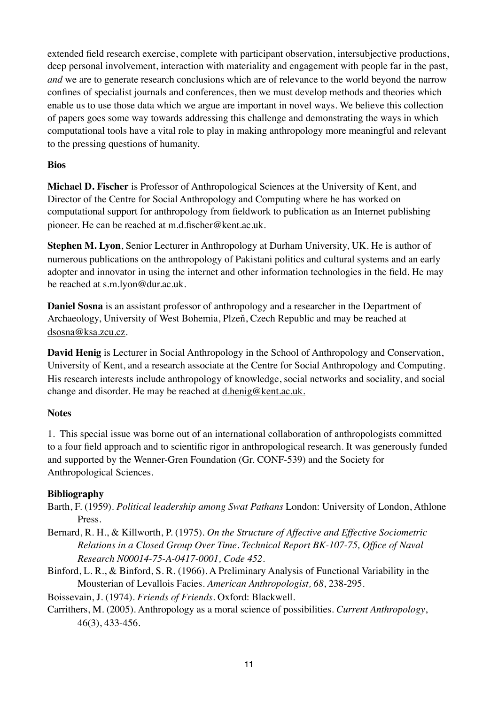extended field research exercise, complete with participant observation, intersubjective productions, deep personal involvement, interaction with materiality and engagement with people far in the past, *and* we are to generate research conclusions which are of relevance to the world beyond the narrow confines of specialist journals and conferences, then we must develop methods and theories which enable us to use those data which we argue are important in novel ways. We believe this collection of papers goes some way towards addressing this challenge and demonstrating the ways in which computational tools have a vital role to play in making anthropology more meaningful and relevant to the pressing questions of humanity.

#### **Bios**

**Michael D. Fischer** is Professor of Anthropological Sciences at the University of Kent, and Director of the Centre for Social Anthropology and Computing where he has worked on computational support for anthropology from fieldwork to publication as an Internet publishing pioneer. He can be reached at m.d.fischer@kent.ac.uk.

**Stephen M. Lyon**, Senior Lecturer in Anthropology at Durham University, UK. He is author of numerous publications on the anthropology of Pakistani politics and cultural systems and an early adopter and innovator in using the internet and other information technologies in the field. He may be reached at s.m.lyon@dur.ac.uk.

**Daniel Sosna** is an assistant professor of anthropology and a researcher in the Department of Archaeology, University of West Bohemia, Plzeň, Czech Republic and may be reached at [dsosna@ksa.zcu.cz.](mailto:dsosna@ksa.zcu.cz)

**David Henig** is Lecturer in Social Anthropology in the School of Anthropology and Conservation, University of Kent, and a research associate at the Centre for Social Anthropology and Computing. His research interests include anthropology of knowledge, social networks and sociality, and social change and disorder. He may be reached at [d.henig@kent.ac.uk.](mailto:d.henig@kent.ac.uk)

#### **Notes**

1. This special issue was borne out of an international collaboration of anthropologists committed to a four field approach and to scientific rigor in anthropological research. It was generously funded and supported by the Wenner-Gren Foundation (Gr. CONF-539) and the Society for Anthropological Sciences.

#### **Bibliography**

- Barth, F. (1959). *Political leadership among Swat Pathans* London: University of London, Athlone Press.
- Bernard, R. H., & Killworth, P. (1975). *On the Structure of Affective and Effective Sociometric Relations in a Closed Group Over Time. Technical Report BK-107-75, Office of Naval Research N00014-75-A-0417-0001, Code 452*.
- Binford, L. R., & Binford, S. R. (1966). A Preliminary Analysis of Functional Variability in the Mousterian of Levallois Facies. *American Anthropologist, 68*, 238-295.

Boissevain, J. (1974). *Friends of Friends.* Oxford: Blackwell.

Carrithers, M. (2005). Anthropology as a moral science of possibilities. *Current Anthropology*, 46(3), 433-456.